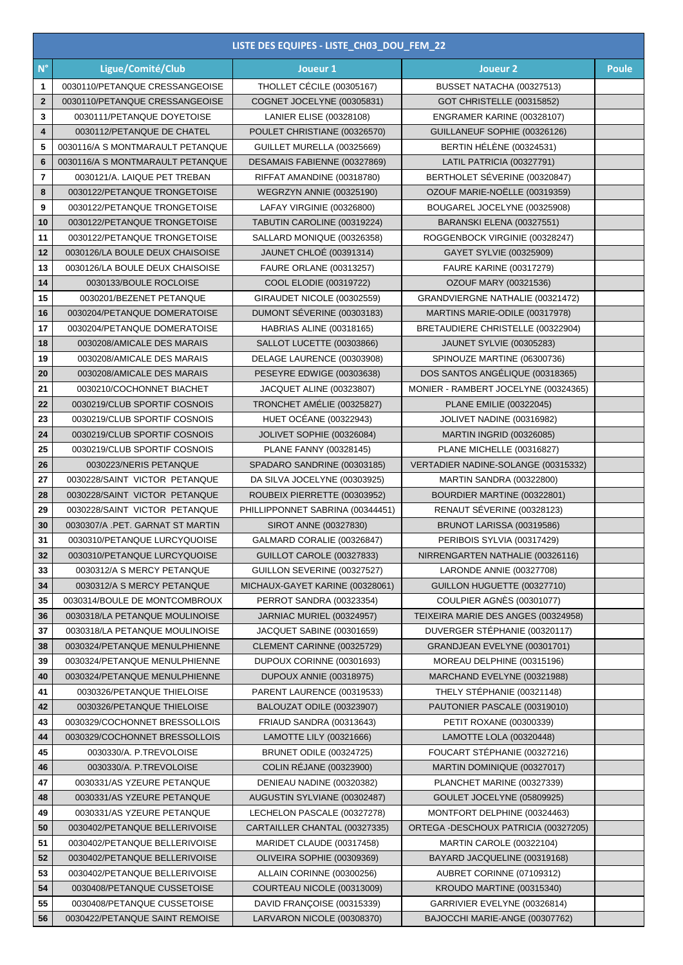|                    | LISTE DES EQUIPES - LISTE_CH03_DOU_FEM_22 |                                  |                                       |              |  |  |  |
|--------------------|-------------------------------------------|----------------------------------|---------------------------------------|--------------|--|--|--|
| $\mathsf{N}^\circ$ | Ligue/Comité/Club                         | Joueur 1                         | Joueur <sub>2</sub>                   | <b>Poule</b> |  |  |  |
| 1                  | 0030110/PETANQUE CRESSANGEOISE            | THOLLET CÉCILE (00305167)        | BUSSET NATACHA (00327513)             |              |  |  |  |
| $\mathbf{2}$       | 0030110/PETANQUE CRESSANGEOISE            | COGNET JOCELYNE (00305831)       | GOT CHRISTELLE (00315852)             |              |  |  |  |
| 3                  | 0030111/PETANQUE DOYETOISE                | LANIER ELISE (00328108)          | ENGRAMER KARINE (00328107)            |              |  |  |  |
| 4                  | 0030112/PETANQUE DE CHATEL                | POULET CHRISTIANE (00326570)     | GUILLANEUF SOPHIE (00326126)          |              |  |  |  |
| 5                  | 0030116/A S MONTMARAULT PETANQUE          | GUILLET MURELLA (00325669)       | <b>BERTIN HÉLÈNE (00324531)</b>       |              |  |  |  |
| $6\phantom{1}6$    | 0030116/A S MONTMARAULT PETANQUE          | DESAMAIS FABIENNE (00327869)     | LATIL PATRICIA (00327791)             |              |  |  |  |
| 7                  | 0030121/A. LAIQUE PET TREBAN              | RIFFAT AMANDINE (00318780)       | BERTHOLET SÉVERINE (00320847)         |              |  |  |  |
| 8                  | 0030122/PETANQUE TRONGETOISE              | <b>WEGRZYN ANNIE (00325190)</b>  | OZOUF MARIE-NOËLLE (00319359)         |              |  |  |  |
| 9                  | 0030122/PETANQUE TRONGETOISE              | LAFAY VIRGINIE (00326800)        | BOUGAREL JOCELYNE (00325908)          |              |  |  |  |
| 10                 | 0030122/PETANQUE TRONGETOISE              | TABUTIN CAROLINE (00319224)      | BARANSKI ELENA (00327551)             |              |  |  |  |
| 11                 | 0030122/PETANQUE TRONGETOISE              | SALLARD MONIQUE (00326358)       | ROGGENBOCK VIRGINIE (00328247)        |              |  |  |  |
| 12                 | 0030126/LA BOULE DEUX CHAISOISE           | JAUNET CHLOÉ (00391314)          | GAYET SYLVIE (00325909)               |              |  |  |  |
| 13                 | 0030126/LA BOULE DEUX CHAISOISE           | <b>FAURE ORLANE (00313257)</b>   | <b>FAURE KARINE (00317279)</b>        |              |  |  |  |
| 14                 | 0030133/BOULE ROCLOISE                    | COOL ELODIE (00319722)           | OZOUF MARY (00321536)                 |              |  |  |  |
| 15                 | 0030201/BEZENET PETANQUE                  | GIRAUDET NICOLE (00302559)       | GRANDVIERGNE NATHALIE (00321472)      |              |  |  |  |
| 16                 | 0030204/PETANQUE DOMERATOISE              | DUMONT SÉVERINE (00303183)       | MARTINS MARIE-ODILE (00317978)        |              |  |  |  |
| 17                 | 0030204/PETANQUE DOMERATOISE              | HABRIAS ALINE (00318165)         | BRETAUDIERE CHRISTELLE (00322904)     |              |  |  |  |
| 18                 | 0030208/AMICALE DES MARAIS                | SALLOT LUCETTE (00303866)        | <b>JAUNET SYLVIE (00305283)</b>       |              |  |  |  |
| 19                 | 0030208/AMICALE DES MARAIS                | DELAGE LAURENCE (00303908)       | SPINOUZE MARTINE (06300736)           |              |  |  |  |
| 20                 | 0030208/AMICALE DES MARAIS                | PESEYRE EDWIGE (00303638)        | DOS SANTOS ANGÉLIQUE (00318365)       |              |  |  |  |
| 21                 | 0030210/COCHONNET BIACHET                 | JACQUET ALINE (00323807)         | MONIER - RAMBERT JOCELYNE (00324365)  |              |  |  |  |
| 22                 | 0030219/CLUB SPORTIF COSNOIS              | TRONCHET AMÉLIE (00325827)       | <b>PLANE EMILIE (00322045)</b>        |              |  |  |  |
| 23                 | 0030219/CLUB SPORTIF COSNOIS              | <b>HUET OCÉANE (00322943)</b>    | JOLIVET NADINE (00316982)             |              |  |  |  |
| 24                 | 0030219/CLUB SPORTIF COSNOIS              | JOLIVET SOPHIE (00326084)        | <b>MARTIN INGRID (00326085)</b>       |              |  |  |  |
| 25                 | 0030219/CLUB SPORTIF COSNOIS              | PLANE FANNY (00328145)           | PLANE MICHELLE (00316827)             |              |  |  |  |
| 26                 | 0030223/NERIS PETANQUE                    | SPADARO SANDRINE (00303185)      | VERTADIER NADINE-SOLANGE (00315332)   |              |  |  |  |
| 27                 | 0030228/SAINT VICTOR PETANQUE             | DA SILVA JOCELYNE (00303925)     | MARTIN SANDRA (00322800)              |              |  |  |  |
| 28                 | 0030228/SAINT VICTOR PETANQUE             | ROUBEIX PIERRETTE (00303952)     | BOURDIER MARTINE (00322801)           |              |  |  |  |
| 29                 | 0030228/SAINT VICTOR PETANQUE             | PHILLIPPONNET SABRINA (00344451) | RENAUT SÉVERINE (00328123)            |              |  |  |  |
| 30                 | 0030307/A .PET. GARNAT ST MARTIN          | SIROT ANNE (00327830)            | BRUNOT LARISSA (00319586)             |              |  |  |  |
| 31                 | 0030310/PETANQUE LURCYQUOISE              | GALMARD CORALIE (00326847)       | PERIBOIS SYLVIA (00317429)            |              |  |  |  |
| 32                 | 0030310/PETANQUE LURCYQUOISE              | GUILLOT CAROLE (00327833)        | NIRRENGARTEN NATHALIE (00326116)      |              |  |  |  |
| 33                 | 0030312/A S MERCY PETANQUE                | GUILLON SEVERINE (00327527)      | LARONDE ANNIE (00327708)              |              |  |  |  |
| 34                 | 0030312/A S MERCY PETANQUE                | MICHAUX-GAYET KARINE (00328061)  | GUILLON HUGUETTE (00327710)           |              |  |  |  |
| 35                 | 0030314/BOULE DE MONTCOMBROUX             | PERROT SANDRA (00323354)         | <b>COULPIER AGNÈS (00301077)</b>      |              |  |  |  |
| 36                 | 0030318/LA PETANQUE MOULINOISE            | JARNIAC MURIEL (00324957)        | TEIXEIRA MARIE DES ANGES (00324958)   |              |  |  |  |
| 37                 | 0030318/LA PETANQUE MOULINOISE            | JACQUET SABINE (00301659)        | DUVERGER STÉPHANIE (00320117)         |              |  |  |  |
| 38                 | 0030324/PETANQUE MENULPHIENNE             | CLEMENT CARINNE (00325729)       | GRANDJEAN EVELYNE (00301701)          |              |  |  |  |
| 39                 | 0030324/PETANQUE MENULPHIENNE             | DUPOUX CORINNE (00301693)        | MOREAU DELPHINE (00315196)            |              |  |  |  |
| 40                 | 0030324/PETANQUE MENULPHIENNE             | DUPOUX ANNIE (00318975)          | MARCHAND EVELYNE (00321988)           |              |  |  |  |
| 41                 | 0030326/PETANQUE THIELOISE                | PARENT LAURENCE (00319533)       | THELY STEPHANIE (00321148)            |              |  |  |  |
| 42                 | 0030326/PETANQUE THIELOISE                | BALOUZAT ODILE (00323907)        | PAUTONIER PASCALE (00319010)          |              |  |  |  |
| 43                 | 0030329/COCHONNET BRESSOLLOIS             | FRIAUD SANDRA (00313643)         | PETIT ROXANE (00300339)               |              |  |  |  |
| 44                 | 0030329/COCHONNET BRESSOLLOIS             | LAMOTTE LILY (00321666)          | LAMOTTE LOLA (00320448)               |              |  |  |  |
| 45                 | 0030330/A. P.TREVOLOISE                   | <b>BRUNET ODILE (00324725)</b>   | FOUCART STÉPHANIE (00327216)          |              |  |  |  |
| 46                 | 0030330/A. P.TREVOLOISE                   | <b>COLIN RÉJANE (00323900)</b>   | MARTIN DOMINIQUE (00327017)           |              |  |  |  |
| 47                 | 0030331/AS YZEURE PETANQUE                | DENIEAU NADINE (00320382)        | PLANCHET MARINE (00327339)            |              |  |  |  |
| 48                 | 0030331/AS YZEURE PETANQUE                | AUGUSTIN SYLVIANE (00302487)     | GOULET JOCELYNE (05809925)            |              |  |  |  |
| 49                 | 0030331/AS YZEURE PETANQUE                | LECHELON PASCALE (00327278)      | MONTFORT DELPHINE (00324463)          |              |  |  |  |
| 50                 | 0030402/PETANQUE BELLERIVOISE             | CARTAILLER CHANTAL (00327335)    | ORTEGA - DESCHOUX PATRICIA (00327205) |              |  |  |  |
| 51                 | 0030402/PETANQUE BELLERIVOISE             | MARIDET CLAUDE (00317458)        | MARTIN CAROLE (00322104)              |              |  |  |  |
| 52                 | 0030402/PETANQUE BELLERIVOISE             | OLIVEIRA SOPHIE (00309369)       | BAYARD JACQUELINE (00319168)          |              |  |  |  |
| 53                 | 0030402/PETANQUE BELLERIVOISE             | ALLAIN CORINNE (00300256)        | AUBRET CORINNE (07109312)             |              |  |  |  |
| 54                 | 0030408/PETANQUE CUSSETOISE               | COURTEAU NICOLE (00313009)       | KROUDO MARTINE (00315340)             |              |  |  |  |
| 55                 | 0030408/PETANQUE CUSSETOISE               | DAVID FRANÇOISE (00315339)       | GARRIVIER EVELYNE (00326814)          |              |  |  |  |
| 56                 | 0030422/PETANQUE SAINT REMOISE            | LARVARON NICOLE (00308370)       | BAJOCCHI MARIE-ANGE (00307762)        |              |  |  |  |